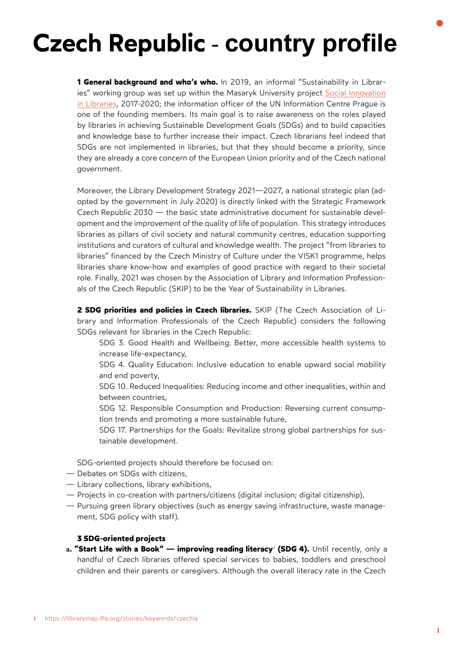## **Czech Republic - country profile**

**1 General background and who's who.** In 2019, an informal "Sustainability in Libraries" working group was set up within the Masaryk University project [Social Innovation](https://kisk.phil.muni.cz/komunitni-knihovna)  [in Libraries,](https://kisk.phil.muni.cz/komunitni-knihovna) 2017-2020; the information officer of the UN Information Centre Prague is one of the founding members. Its main goal is to raise awareness on the roles played by libraries in achieving Sustainable Development Goals (SDGs) and to build capacities and knowledge base to further increase their impact. Czech librarians feel indeed that SDGs are not implemented in libraries, but that they should become a priority, since they are already a core concern of the European Union priority and of the Czech national government.

Moreover, the [Library Development Strategy 2021—2027,](https://koncepce.knihovna.cz/) a national strategic plan (adopted by the government in July 2020) is directly linked with the Strategic Framework Czech Republic 2030 — the basic state administrative document for sustainable development and the improvement of the quality of life of population. This strategy introduces libraries as pillars of civil society and natural community centres, education supporting institutions and curators of cultural and knowledge wealth. The project "from libraries to libraries" financed by the Czech Ministry of Culture under the VISK1 programme, helps libraries share know-how and examples of good practice with regard to their societal role. Finally, 2021 was chosen by the [Association of Library and Information Profession](https://www.skipcr.cz/)[als of the Czech Republic \(SKIP\)](https://www.skipcr.cz/) to be the Year of Sustainability in Libraries.

**2 SDG priorities and policies in Czech libraries.** SKIP (The Czech Association of Library and Information Professionals of the Czech Republic) considers the following SDGs relevant for libraries in the Czech Republic:

- SDG 3. Good Health and Wellbeing: Better, more accessible health systems to increase life-expectancy,
- SDG 4. Quality Education: Inclusive education to enable upward social mobility and end poverty,
- SDG 10. Reduced Inequalities: Reducing income and other inequalities, within and between countries,
- SDG 12. Responsible Consumption and Production: Reversing current consumption trends and promoting a more sustainable future,
- SDG 17. Partnerships for the Goals: Revitalize strong global partnerships for sustainable development.

SDG-oriented projects should therefore be focused on:

- Debates on SDGs with citizens,
- Library collections, library exhibitions,
- Projects in co-creation with partners/citizens (digital inclusion; digital citizenship),
- Pursuing green library objectives (such as energy saving infrastructure, waste management, SDG policy with staff).

## **3 SDG-oriented projects**

**a. ["Start Life with a Book" — improving reading literacy](https://librarymap.ifla.org/stories/keywords/czechia)<sup>1</sup> (SDG 4).** Until recently, only a handful of Czech libraries offered special services to babies, toddlers and preschool children and their parents or caregivers. Although the overall literacy rate in the Czech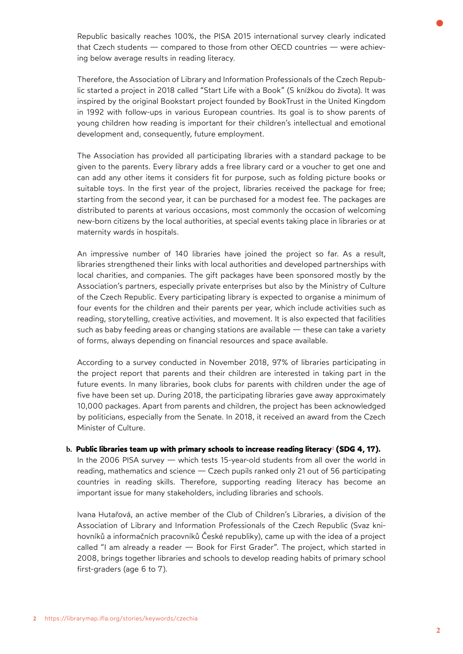Republic basically reaches 100%, the PISA 2015 international survey clearly indicated that Czech students — compared to those from other OECD countries — were achieving below average results in reading literacy.

Therefore, the Association of Library and Information Professionals of the Czech Republic started a project in 2018 called "Start Life with a Book" (S knížkou do života). It was inspired by the original Bookstart project founded by BookTrust in the United Kingdom in 1992 with follow-ups in various European countries. Its goal is to show parents of young children how reading is important for their children's intellectual and emotional development and, consequently, future employment.

The Association has provided all participating libraries with a standard package to be given to the parents. Every library adds a free library card or a voucher to get one and can add any other items it considers fit for purpose, such as folding picture books or suitable toys. In the first year of the project, libraries received the package for free; starting from the second year, it can be purchased for a modest fee. The packages are distributed to parents at various occasions, most commonly the occasion of welcoming new-born citizens by the local authorities, at special events taking place in libraries or at maternity wards in hospitals.

An impressive number of 140 libraries have joined the project so far. As a result, libraries strengthened their links with local authorities and developed partnerships with local charities, and companies. The gift packages have been sponsored mostly by the Association's partners, especially private enterprises but also by the Ministry of Culture of the Czech Republic. Every participating library is expected to organise a minimum of four events for the children and their parents per year, which include activities such as reading, storytelling, creative activities, and movement. It is also expected that facilities such as baby feeding areas or changing stations are available — these can take a variety of forms, always depending on financial resources and space available.

According to a survey conducted in November 2018, 97% of libraries participating in the project report that parents and their children are interested in taking part in the future events. In many libraries, book clubs for parents with children under the age of five have been set up. During 2018, the participating libraries gave away approximately 10,000 packages. Apart from parents and children, the project has been acknowledged by politicians, especially from the Senate. In 2018, it received an award from the Czech Minister of Culture.

## **b. Public libraries team up with [primary schools to increase reading literacy](https://librarymap.ifla.org/stories/keywords/czechia)<sup>2</sup> (SDG 4, 17).**

In the 2006 PISA survey — which tests 15-year-old students from all over the world in reading, mathematics and science — Czech pupils ranked only 21 out of 56 participating countries in reading skills. Therefore, supporting reading literacy has become an important issue for many stakeholders, including libraries and schools.

Ivana Hutařová, an active member of the Club of Children's Libraries, a division of the Association of Library and Information Professionals of the Czech Republic (Svaz knihovníků a informačních pracovníků České republiky), came up with the idea of a project called "I am already a reader — Book for First Grader". The project, which started in 2008, brings together libraries and schools to develop reading habits of primary school first-graders (age 6 to 7).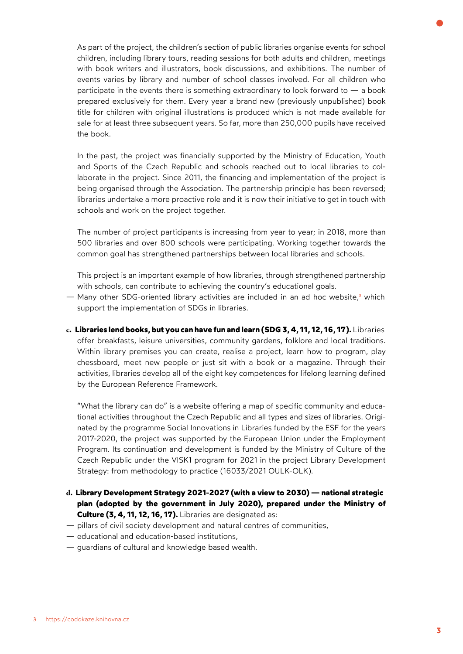As part of the project, the children's section of public libraries organise events for school children, including library tours, reading sessions for both adults and children, meetings with book writers and illustrators, book discussions, and exhibitions. The number of events varies by library and number of school classes involved. For all children who participate in the events there is something extraordinary to look forward to  $-$  a book prepared exclusively for them. Every year a brand new (previously unpublished) book title for children with original illustrations is produced which is not made available for sale for at least three subsequent years. So far, more than 250,000 pupils have received the book.

In the past, the project was financially supported by the Ministry of Education, Youth and Sports of the Czech Republic and schools reached out to local libraries to collaborate in the project. Since 2011, the financing and implementation of the project is being organised through the Association. The partnership principle has been reversed; libraries undertake a more proactive role and it is now their initiative to get in touch with schools and work on the project together.

The number of project participants is increasing from year to year; in 2018, more than 500 libraries and over 800 schools were participating. Working together towards the common goal has strengthened partnerships between local libraries and schools.

This project is an important example of how libraries, through strengthened partnership with schools, can contribute to achieving the country's educational goals.

- [Many other SDG-oriented library activities are included in an ad hoc website,](https://codokaze.knihovna.cz/)**<sup>3</sup>** which support the implementation of SDGs in libraries.
- **c. Libraries lend books, but you can have fun and learn (SDG 3, 4, 11, 12, 16, 17).** Libraries offer breakfasts, leisure universities, community gardens, folklore and local traditions. Within library premises you can create, realise a project, learn how to program, play chessboard, meet new people or just sit with a book or a magazine. Through their activities, libraries develop all of the eight key competences for lifelong learning defined by the European Reference Framework.

"What the library can do" is a website offering a map of specific community and educational activities throughout the Czech Republic and all types and sizes of libraries. Originated by the programme Social Innovations in Libraries funded by the ESF for the years 2017-2020, the project was supported by the European Union under the Employment Program. Its continuation and development is funded by the Ministry of Culture of the Czech Republic under the VISK1 program for 2021 in the project Library Development Strategy: from methodology to practice (16033/2021 OULK-OLK).

- **d. Library Development Strategy 2021-2027 (with a view to 2030) national strategic plan (adopted by the government in July 2020), prepared under the Ministry of Culture (3, 4, 11, 12, 16, 17).** Libraries are designated as:
- pillars of civil society development and natural centres of communities,
- educational and education-based institutions,
- guardians of cultural and knowledge based wealth.

**3**